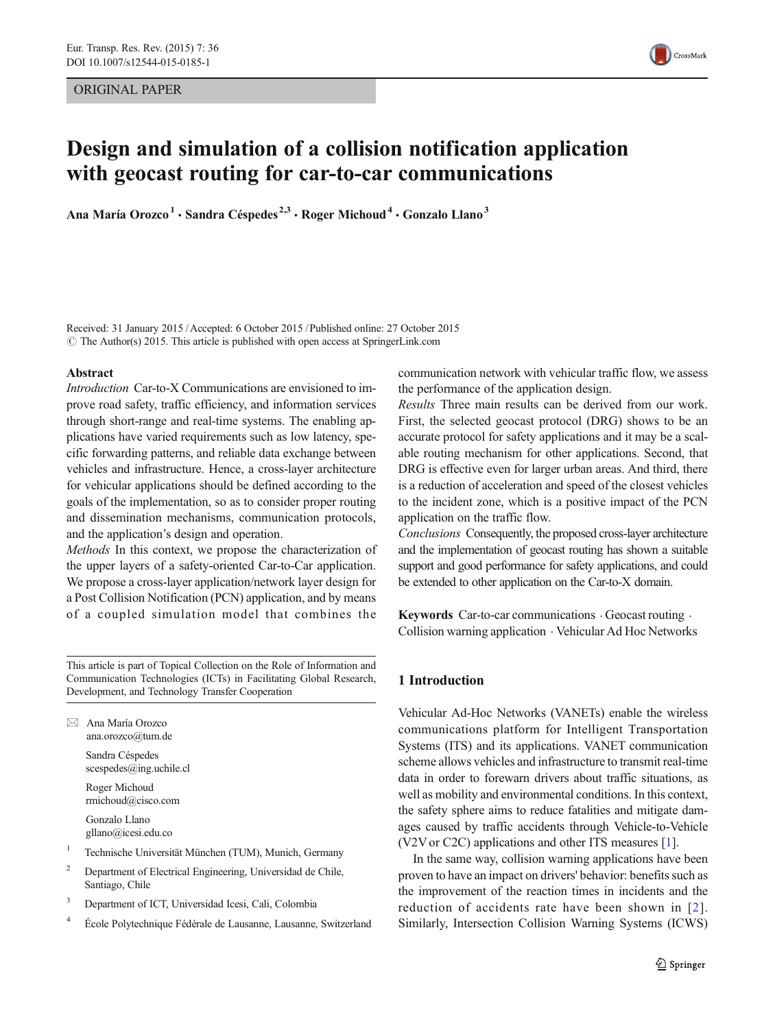ORIGINAL PAPER



# Design and simulation of a collision notification application with geocast routing for car-to-car communications

Ana María Orozco<sup>1</sup> · Sandra Céspedes<sup>2,3</sup> · Roger Michoud<sup>4</sup> · Gonzalo Llano<sup>3</sup>

Received: 31 January 2015 /Accepted: 6 October 2015 /Published online: 27 October 2015  $\odot$  The Author(s) 2015. This article is published with open access at SpringerLink.com

#### Abstract

Introduction Car-to-X Communications are envisioned to improve road safety, traffic efficiency, and information services through short-range and real-time systems. The enabling applications have varied requirements such as low latency, specific forwarding patterns, and reliable data exchange between vehicles and infrastructure. Hence, a cross-layer architecture for vehicular applications should be defined according to the goals of the implementation, so as to consider proper routing and dissemination mechanisms, communication protocols, and the application's design and operation.

Methods In this context, we propose the characterization of the upper layers of a safety-oriented Car-to-Car application. We propose a cross-layer application/network layer design for a Post Collision Notification (PCN) application, and by means of a coupled simulation model that combines the

This article is part of Topical Collection on the Role of Information and Communication Technologies (ICTs) in Facilitating Global Research, Development, and Technology Transfer Cooperation

 $\boxtimes$  Ana María Orozco ana.orozco@tum.de Sandra Céspedes

> scespedes@ing.uchile.cl Roger Michoud rmichoud@cisco.com

Gonzalo Llano gllano@icesi.edu.co

- <sup>1</sup> Technische Universität München (TUM), Munich, Germany
- <sup>2</sup> Department of Electrical Engineering, Universidad de Chile, Santiago, Chile
- <sup>3</sup> Department of ICT, Universidad Icesi, Cali, Colombia
- <sup>4</sup> École Polytechnique Fédérale de Lausanne, Lausanne, Switzerland

communication network with vehicular traffic flow, we assess the performance of the application design.

Results Three main results can be derived from our work. First, the selected geocast protocol (DRG) shows to be an accurate protocol for safety applications and it may be a scalable routing mechanism for other applications. Second, that DRG is effective even for larger urban areas. And third, there is a reduction of acceleration and speed of the closest vehicles to the incident zone, which is a positive impact of the PCN application on the traffic flow.

Conclusions Consequently, the proposed cross-layer architecture and the implementation of geocast routing has shown a suitable support and good performance for safety applications, and could be extended to other application on the Car-to-X domain.

Keywords Car-to-car communications  $\cdot$  Geocast routing  $\cdot$ Collision warning application . Vehicular Ad Hoc Networks

## 1 Introduction

Vehicular Ad-Hoc Networks (VANETs) enable the wireless communications platform for Intelligent Transportation Systems (ITS) and its applications. VANET communication scheme allows vehicles and infrastructure to transmit real-time data in order to forewarn drivers about traffic situations, as well as mobility and environmental conditions. In this context, the safety sphere aims to reduce fatalities and mitigate damages caused by traffic accidents through Vehicle-to-Vehicle (V2V or C2C) applications and other ITS measures [[1](#page-7-0)].

In the same way, collision warning applications have been proven to have an impact on drivers' behavior: benefits such as the improvement of the reaction times in incidents and the reduction of accidents rate have been shown in [[2](#page-7-0)]. Similarly, Intersection Collision Warning Systems (ICWS)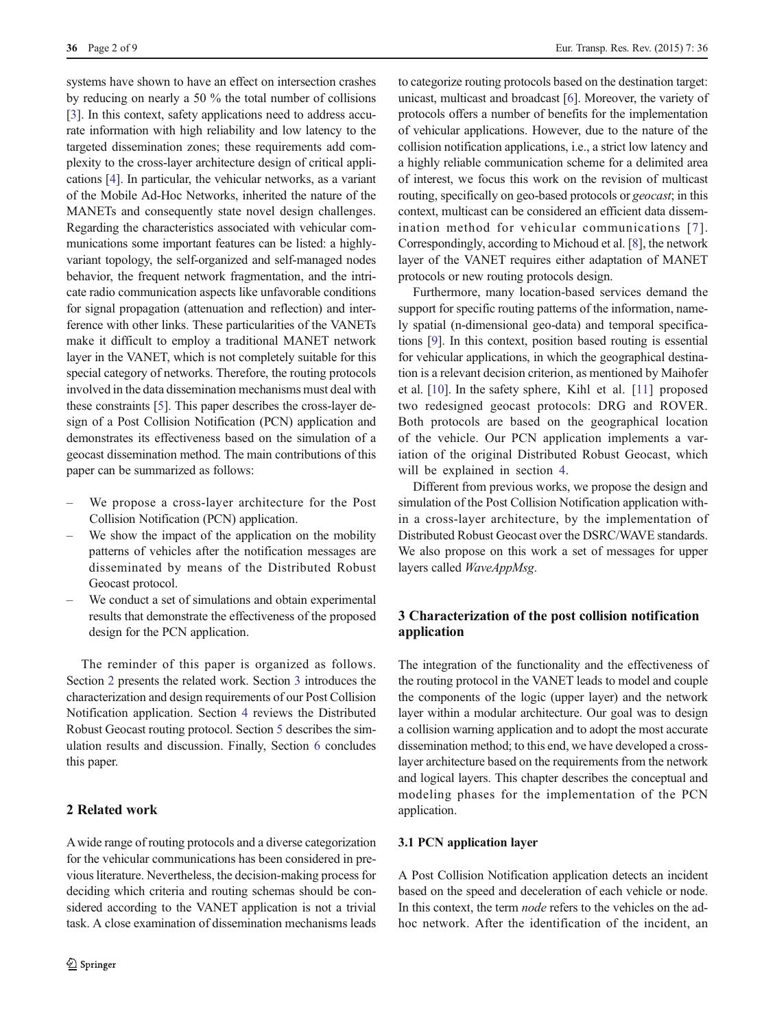systems have shown to have an effect on intersection crashes by reducing on nearly a 50 % the total number of collisions [\[3](#page-8-0)]. In this context, safety applications need to address accurate information with high reliability and low latency to the targeted dissemination zones; these requirements add complexity to the cross-layer architecture design of critical applications [\[4](#page-8-0)]. In particular, the vehicular networks, as a variant of the Mobile Ad-Hoc Networks, inherited the nature of the MANETs and consequently state novel design challenges. Regarding the characteristics associated with vehicular communications some important features can be listed: a highlyvariant topology, the self-organized and self-managed nodes behavior, the frequent network fragmentation, and the intricate radio communication aspects like unfavorable conditions for signal propagation (attenuation and reflection) and interference with other links. These particularities of the VANETs make it difficult to employ a traditional MANET network layer in the VANET, which is not completely suitable for this special category of networks. Therefore, the routing protocols involved in the data dissemination mechanisms must deal with these constraints [\[5](#page-8-0)]. This paper describes the cross-layer design of a Post Collision Notification (PCN) application and demonstrates its effectiveness based on the simulation of a geocast dissemination method. The main contributions of this paper can be summarized as follows:

- We propose a cross-layer architecture for the Post Collision Notification (PCN) application.
- We show the impact of the application on the mobility patterns of vehicles after the notification messages are disseminated by means of the Distributed Robust Geocast protocol.
- We conduct a set of simulations and obtain experimental results that demonstrate the effectiveness of the proposed design for the PCN application.

The reminder of this paper is organized as follows. Section 2 presents the related work. Section 3 introduces the characterization and design requirements of our Post Collision Notification application. Section [4](#page-3-0) reviews the Distributed Robust Geocast routing protocol. Section [5](#page-4-0) describes the simulation results and discussion. Finally, Section [6](#page-7-0) concludes this paper.

# 2 Related work

A wide range of routing protocols and a diverse categorization for the vehicular communications has been considered in previous literature. Nevertheless, the decision-making process for deciding which criteria and routing schemas should be considered according to the VANET application is not a trivial task. A close examination of dissemination mechanisms leads

to categorize routing protocols based on the destination target: unicast, multicast and broadcast [\[6\]](#page-8-0). Moreover, the variety of protocols offers a number of benefits for the implementation of vehicular applications. However, due to the nature of the collision notification applications, i.e., a strict low latency and a highly reliable communication scheme for a delimited area of interest, we focus this work on the revision of multicast routing, specifically on geo-based protocols or *geocast*; in this context, multicast can be considered an efficient data dissemination method for vehicular communications [[7\]](#page-8-0). Correspondingly, according to Michoud et al. [\[8\]](#page-8-0), the network layer of the VANET requires either adaptation of MANET protocols or new routing protocols design.

Furthermore, many location-based services demand the support for specific routing patterns of the information, namely spatial (n-dimensional geo-data) and temporal specifications [[9\]](#page-8-0). In this context, position based routing is essential for vehicular applications, in which the geographical destination is a relevant decision criterion, as mentioned by Maihofer et al. [[10](#page-8-0)]. In the safety sphere, Kihl et al. [[11\]](#page-8-0) proposed two redesigned geocast protocols: DRG and ROVER. Both protocols are based on the geographical location of the vehicle. Our PCN application implements a variation of the original Distributed Robust Geocast, which will be explained in section [4.](#page-3-0)

Different from previous works, we propose the design and simulation of the Post Collision Notification application within a cross-layer architecture, by the implementation of Distributed Robust Geocast over the DSRC/WAVE standards. We also propose on this work a set of messages for upper layers called WaveAppMsg.

# 3 Characterization of the post collision notification application

The integration of the functionality and the effectiveness of the routing protocol in the VANET leads to model and couple the components of the logic (upper layer) and the network layer within a modular architecture. Our goal was to design a collision warning application and to adopt the most accurate dissemination method; to this end, we have developed a crosslayer architecture based on the requirements from the network and logical layers. This chapter describes the conceptual and modeling phases for the implementation of the PCN application.

## 3.1 PCN application layer

A Post Collision Notification application detects an incident based on the speed and deceleration of each vehicle or node. In this context, the term node refers to the vehicles on the adhoc network. After the identification of the incident, an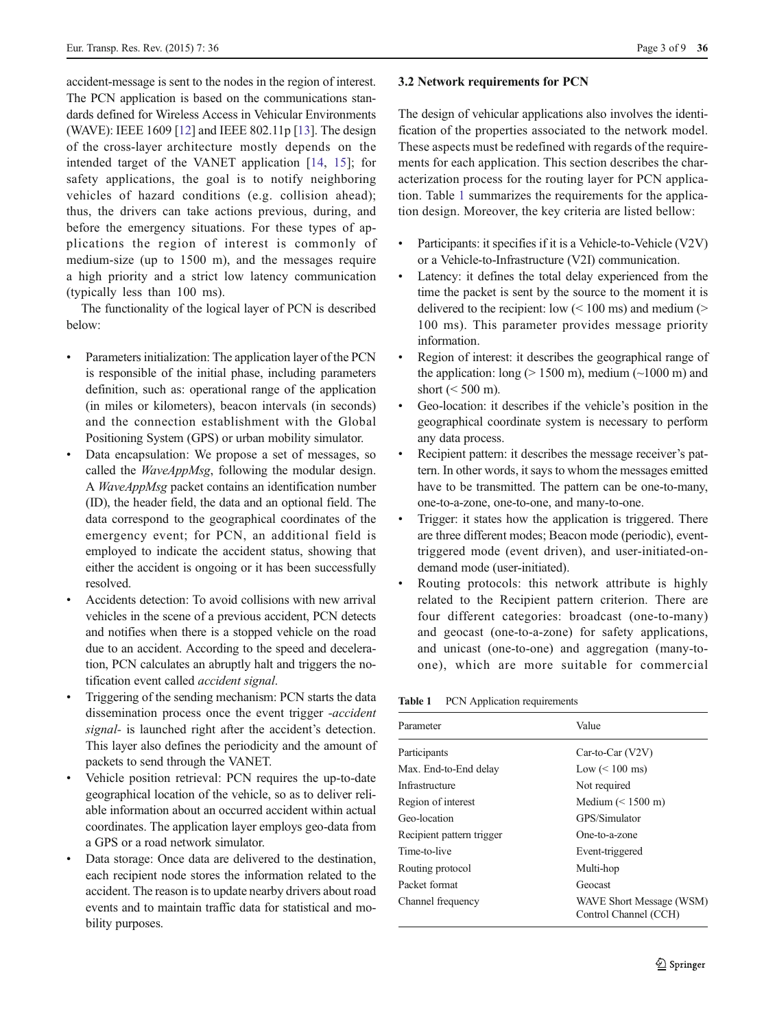<span id="page-2-0"></span>accident-message is sent to the nodes in the region of interest. The PCN application is based on the communications standards defined for Wireless Access in Vehicular Environments (WAVE): IEEE 1609 [\[12](#page-8-0)] and IEEE 802.11p [[13\]](#page-8-0). The design of the cross-layer architecture mostly depends on the intended target of the VANET application [[14,](#page-8-0) [15\]](#page-8-0); for safety applications, the goal is to notify neighboring vehicles of hazard conditions (e.g. collision ahead); thus, the drivers can take actions previous, during, and before the emergency situations. For these types of applications the region of interest is commonly of medium-size (up to 1500 m), and the messages require a high priority and a strict low latency communication (typically less than 100 ms).

The functionality of the logical layer of PCN is described below:

- Parameters initialization: The application layer of the PCN is responsible of the initial phase, including parameters definition, such as: operational range of the application (in miles or kilometers), beacon intervals (in seconds) and the connection establishment with the Global Positioning System (GPS) or urban mobility simulator.
- Data encapsulation: We propose a set of messages, so called the WaveAppMsg, following the modular design. A WaveAppMsg packet contains an identification number (ID), the header field, the data and an optional field. The data correspond to the geographical coordinates of the emergency event; for PCN, an additional field is employed to indicate the accident status, showing that either the accident is ongoing or it has been successfully resolved.
- & Accidents detection: To avoid collisions with new arrival vehicles in the scene of a previous accident, PCN detects and notifies when there is a stopped vehicle on the road due to an accident. According to the speed and deceleration, PCN calculates an abruptly halt and triggers the notification event called accident signal.
- & Triggering of the sending mechanism: PCN starts the data dissemination process once the event trigger -accident signal- is launched right after the accident's detection. This layer also defines the periodicity and the amount of packets to send through the VANET.
- Vehicle position retrieval: PCN requires the up-to-date geographical location of the vehicle, so as to deliver reliable information about an occurred accident within actual coordinates. The application layer employs geo-data from a GPS or a road network simulator.
- Data storage: Once data are delivered to the destination, each recipient node stores the information related to the accident. The reason is to update nearby drivers about road events and to maintain traffic data for statistical and mobility purposes.

#### 3.2 Network requirements for PCN

The design of vehicular applications also involves the identification of the properties associated to the network model. These aspects must be redefined with regards of the requirements for each application. This section describes the characterization process for the routing layer for PCN application. Table 1 summarizes the requirements for the application design. Moreover, the key criteria are listed bellow:

- Participants: it specifies if it is a Vehicle-to-Vehicle (V2V) or a Vehicle-to-Infrastructure (V2I) communication.
- Latency: it defines the total delay experienced from the time the packet is sent by the source to the moment it is delivered to the recipient: low  $(< 100 \text{ ms})$  and medium  $(>$ 100 ms). This parameter provides message priority information.
- & Region of interest: it describes the geographical range of the application: long ( $> 1500$  m), medium ( $\sim$ 1000 m) and short  $( $500 \text{ m}$ ).$
- Geo-location: it describes if the vehicle's position in the geographical coordinate system is necessary to perform any data process.
- Recipient pattern: it describes the message receiver's pattern. In other words, it says to whom the messages emitted have to be transmitted. The pattern can be one-to-many, one-to-a-zone, one-to-one, and many-to-one.
- Trigger: it states how the application is triggered. There are three different modes; Beacon mode (periodic), eventtriggered mode (event driven), and user-initiated-ondemand mode (user-initiated).
- Routing protocols: this network attribute is highly related to the Recipient pattern criterion. There are four different categories: broadcast (one-to-many) and geocast (one-to-a-zone) for safety applications, and unicast (one-to-one) and aggregation (many-toone), which are more suitable for commercial

Table 1 PCN Application requirements

| Parameter                 | Value                                             |
|---------------------------|---------------------------------------------------|
| Participants              | $Car-to-Car (V2V)$                                |
| Max. End-to-End delay     | Low $(< 100$ ms)                                  |
| Infrastructure            | Not required                                      |
| Region of interest        | Medium $(< 1500$ m)                               |
| Geo-location              | GPS/Simulator                                     |
| Recipient pattern trigger | One-to-a-zone                                     |
| Time-to-live              | Event-triggered                                   |
| Routing protocol          | Multi-hop                                         |
| Packet format             | Geocast                                           |
| Channel frequency         | WAVE Short Message (WSM)<br>Control Channel (CCH) |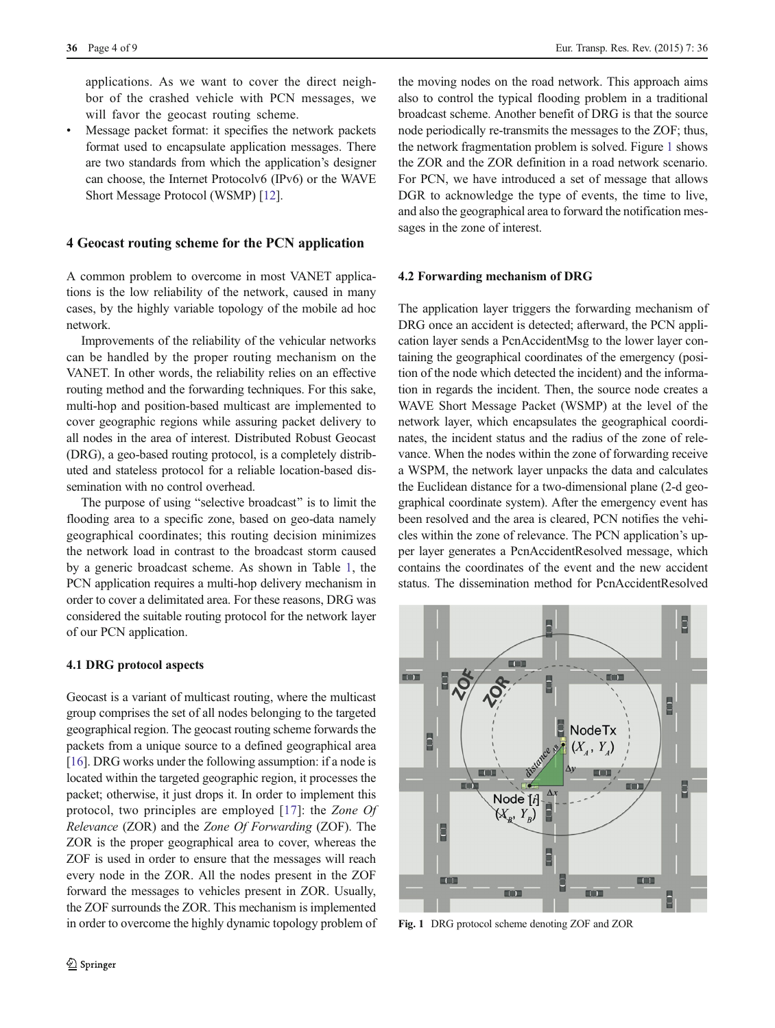<span id="page-3-0"></span>applications. As we want to cover the direct neighbor of the crashed vehicle with PCN messages, we will favor the geocast routing scheme.

Message packet format: it specifies the network packets format used to encapsulate application messages. There are two standards from which the application's designer can choose, the Internet Protocolv6 (IPv6) or the WAVE Short Message Protocol (WSMP) [\[12](#page-8-0)].

#### 4 Geocast routing scheme for the PCN application

A common problem to overcome in most VANET applications is the low reliability of the network, caused in many cases, by the highly variable topology of the mobile ad hoc network.

Improvements of the reliability of the vehicular networks can be handled by the proper routing mechanism on the VANET. In other words, the reliability relies on an effective routing method and the forwarding techniques. For this sake, multi-hop and position-based multicast are implemented to cover geographic regions while assuring packet delivery to all nodes in the area of interest. Distributed Robust Geocast (DRG), a geo-based routing protocol, is a completely distributed and stateless protocol for a reliable location-based dissemination with no control overhead.

The purpose of using "selective broadcast" is to limit the flooding area to a specific zone, based on geo-data namely geographical coordinates; this routing decision minimizes the network load in contrast to the broadcast storm caused by a generic broadcast scheme. As shown in Table [1,](#page-2-0) the PCN application requires a multi-hop delivery mechanism in order to cover a delimitated area. For these reasons, DRG was considered the suitable routing protocol for the network layer of our PCN application.

#### 4.1 DRG protocol aspects

Geocast is a variant of multicast routing, where the multicast group comprises the set of all nodes belonging to the targeted geographical region. The geocast routing scheme forwards the packets from a unique source to a defined geographical area [\[16\]](#page-8-0). DRG works under the following assumption: if a node is located within the targeted geographic region, it processes the packet; otherwise, it just drops it. In order to implement this protocol, two principles are employed [\[17](#page-8-0)]: the Zone Of Relevance (ZOR) and the Zone Of Forwarding (ZOF). The ZOR is the proper geographical area to cover, whereas the ZOF is used in order to ensure that the messages will reach every node in the ZOR. All the nodes present in the ZOF forward the messages to vehicles present in ZOR. Usually, the ZOF surrounds the ZOR. This mechanism is implemented in order to overcome the highly dynamic topology problem of

the moving nodes on the road network. This approach aims also to control the typical flooding problem in a traditional broadcast scheme. Another benefit of DRG is that the source node periodically re-transmits the messages to the ZOF; thus, the network fragmentation problem is solved. Figure 1 shows the ZOR and the ZOR definition in a road network scenario. For PCN, we have introduced a set of message that allows DGR to acknowledge the type of events, the time to live, and also the geographical area to forward the notification messages in the zone of interest.

#### 4.2 Forwarding mechanism of DRG

The application layer triggers the forwarding mechanism of DRG once an accident is detected; afterward, the PCN application layer sends a PcnAccidentMsg to the lower layer containing the geographical coordinates of the emergency (position of the node which detected the incident) and the information in regards the incident. Then, the source node creates a WAVE Short Message Packet (WSMP) at the level of the network layer, which encapsulates the geographical coordinates, the incident status and the radius of the zone of relevance. When the nodes within the zone of forwarding receive a WSPM, the network layer unpacks the data and calculates the Euclidean distance for a two-dimensional plane (2-d geographical coordinate system). After the emergency event has been resolved and the area is cleared, PCN notifies the vehicles within the zone of relevance. The PCN application's upper layer generates a PcnAccidentResolved message, which contains the coordinates of the event and the new accident status. The dissemination method for PcnAccidentResolved



Fig. 1 DRG protocol scheme denoting ZOF and ZOR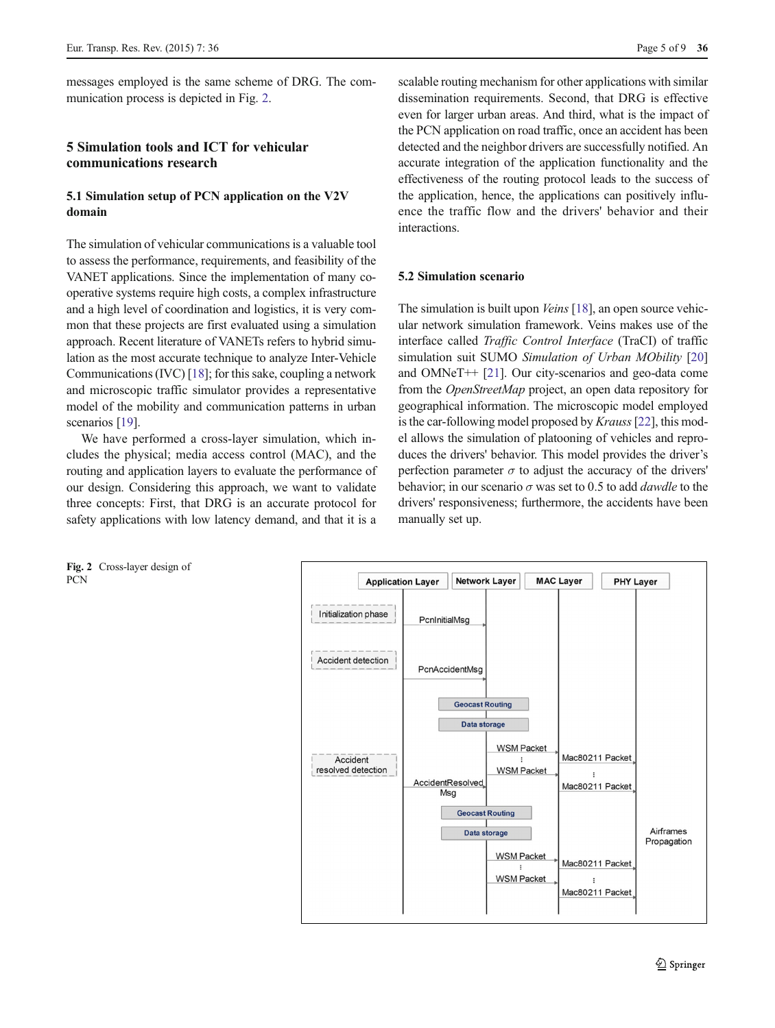<span id="page-4-0"></span>messages employed is the same scheme of DRG. The communication process is depicted in Fig. 2.

# 5 Simulation tools and ICT for vehicular communications research

## 5.1 Simulation setup of PCN application on the V2V domain

The simulation of vehicular communications is a valuable tool to assess the performance, requirements, and feasibility of the VANET applications. Since the implementation of many cooperative systems require high costs, a complex infrastructure and a high level of coordination and logistics, it is very common that these projects are first evaluated using a simulation approach. Recent literature of VANETs refers to hybrid simulation as the most accurate technique to analyze Inter-Vehicle Communications (IVC) [\[18](#page-8-0)]; for this sake, coupling a network and microscopic traffic simulator provides a representative model of the mobility and communication patterns in urban scenarios [[19](#page-8-0)].

We have performed a cross-layer simulation, which includes the physical; media access control (MAC), and the routing and application layers to evaluate the performance of our design. Considering this approach, we want to validate three concepts: First, that DRG is an accurate protocol for safety applications with low latency demand, and that it is a

scalable routing mechanism for other applications with similar dissemination requirements. Second, that DRG is effective even for larger urban areas. And third, what is the impact of the PCN application on road traffic, once an accident has been detected and the neighbor drivers are successfully notified. An accurate integration of the application functionality and the effectiveness of the routing protocol leads to the success of the application, hence, the applications can positively influence the traffic flow and the drivers' behavior and their interactions.

### 5.2 Simulation scenario

The simulation is built upon *Veins* [\[18](#page-8-0)], an open source vehicular network simulation framework. Veins makes use of the interface called Traffic Control Interface (TraCI) of traffic simulation suit SUMO Simulation of Urban MObility [\[20](#page-8-0)] and OMNeT++ [[21](#page-8-0)]. Our city-scenarios and geo-data come from the OpenStreetMap project, an open data repository for geographical information. The microscopic model employed is the car-following model proposed by *Krauss* [[22](#page-8-0)], this model allows the simulation of platooning of vehicles and reproduces the drivers' behavior. This model provides the driver's perfection parameter  $\sigma$  to adjust the accuracy of the drivers' behavior; in our scenario  $\sigma$  was set to 0.5 to add *dawdle* to the drivers' responsiveness; furthermore, the accidents have been manually set up.

Fig. 2 Cross-layer design of **PCN** 

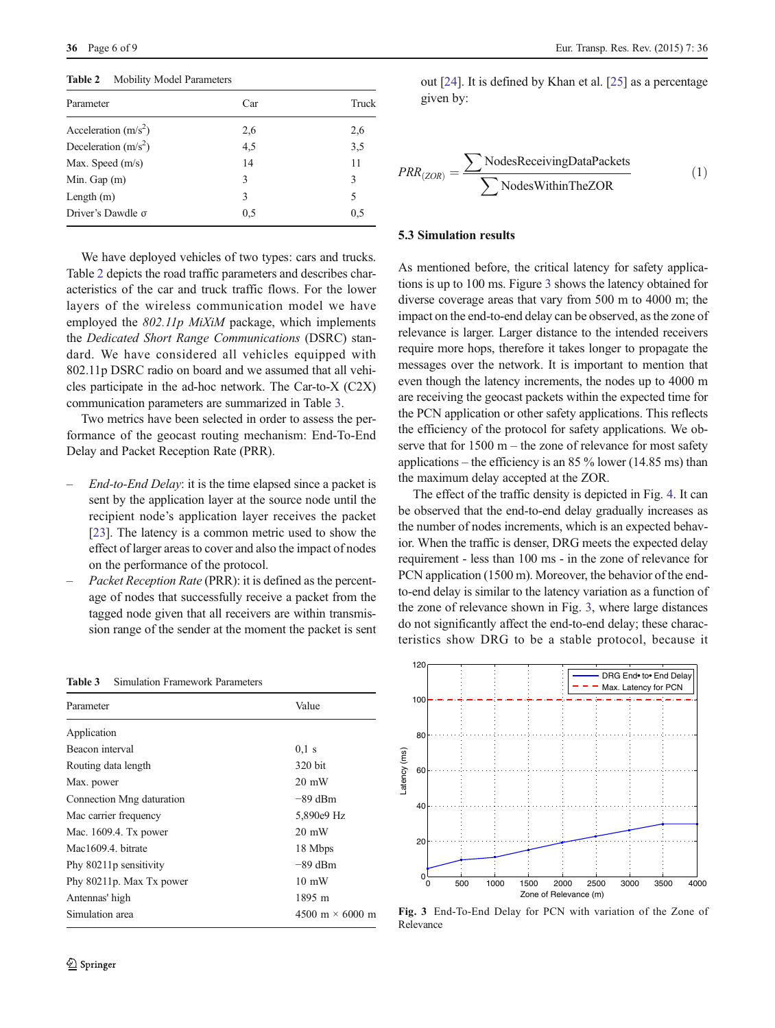Table 2 Mobility Model Parameters

| Parameter                | Car | Truck |
|--------------------------|-----|-------|
| Acceleration $(m/s^2)$   | 2,6 | 2,6   |
| Deceleration $(m/s2)$    | 4,5 | 3,5   |
| Max. Speed $(m/s)$       | 14  | 11    |
| Min. Gap $(m)$           | 3   | 3     |
| Length $(m)$             | 3   | 5     |
| Driver's Dawdle $\sigma$ | 0,5 | 0,5   |

We have deployed vehicles of two types: cars and trucks. Table 2 depicts the road traffic parameters and describes characteristics of the car and truck traffic flows. For the lower layers of the wireless communication model we have employed the 802.11p MiXiM package, which implements the Dedicated Short Range Communications (DSRC) standard. We have considered all vehicles equipped with 802.11p DSRC radio on board and we assumed that all vehicles participate in the ad-hoc network. The Car-to-X (C2X) communication parameters are summarized in Table 3.

Two metrics have been selected in order to assess the performance of the geocast routing mechanism: End-To-End Delay and Packet Reception Rate (PRR).

- End-to-End Delay: it is the time elapsed since a packet is sent by the application layer at the source node until the recipient node's application layer receives the packet [\[23](#page-8-0)]. The latency is a common metric used to show the effect of larger areas to cover and also the impact of nodes on the performance of the protocol.
- Packet Reception Rate (PRR): it is defined as the percentage of nodes that successfully receive a packet from the tagged node given that all receivers are within transmission range of the sender at the moment the packet is sent

| Parameter                 | Value                  |
|---------------------------|------------------------|
| Application               |                        |
| Beacon interval           | $0.1$ s                |
| Routing data length       | 320 bit                |
| Max. power                | $20 \text{ mW}$        |
| Connection Mng daturation | -89 dBm                |
| Mac carrier frequency     | 5,890e9 Hz             |
| Mac. 1609.4. Tx power     | $20 \text{ mW}$        |
| Mac1609.4. bitrate        | 18 Mbps                |
| Phy 80211p sensitivity    | $-89$ dBm              |
| Phy 80211p. Max Tx power  | $10 \text{ mW}$        |
| Antennas' high            | 1895 m                 |
| Simulation area           | 4500 m $\times$ 6000 m |
|                           |                        |

Table 3 Simulation Framework Parameters

out [[24](#page-8-0)]. It is defined by Khan et al. [\[25](#page-8-0)] as a percentage given by:

$$
PRR_{(ZOR)} = \frac{\sum \text{NodesReceivingDataPackets}}{\sum \text{NodesWithinTheZOR}} \tag{1}
$$

#### 5.3 Simulation results

As mentioned before, the critical latency for safety applications is up to 100 ms. Figure 3 shows the latency obtained for diverse coverage areas that vary from 500 m to 4000 m; the impact on the end-to-end delay can be observed, as the zone of relevance is larger. Larger distance to the intended receivers require more hops, therefore it takes longer to propagate the messages over the network. It is important to mention that even though the latency increments, the nodes up to 4000 m are receiving the geocast packets within the expected time for the PCN application or other safety applications. This reflects the efficiency of the protocol for safety applications. We observe that for 1500 m – the zone of relevance for most safety applications – the efficiency is an 85  $\%$  lower (14.85 ms) than the maximum delay accepted at the ZOR.

The effect of the traffic density is depicted in Fig. [4](#page-6-0). It can be observed that the end-to-end delay gradually increases as the number of nodes increments, which is an expected behavior. When the traffic is denser, DRG meets the expected delay requirement - less than 100 ms - in the zone of relevance for PCN application (1500 m). Moreover, the behavior of the endto-end delay is similar to the latency variation as a function of the zone of relevance shown in Fig. 3, where large distances do not significantly affect the end-to-end delay; these characteristics show DRG to be a stable protocol, because it



Fig. 3 End-To-End Delay for PCN with variation of the Zone of Relevance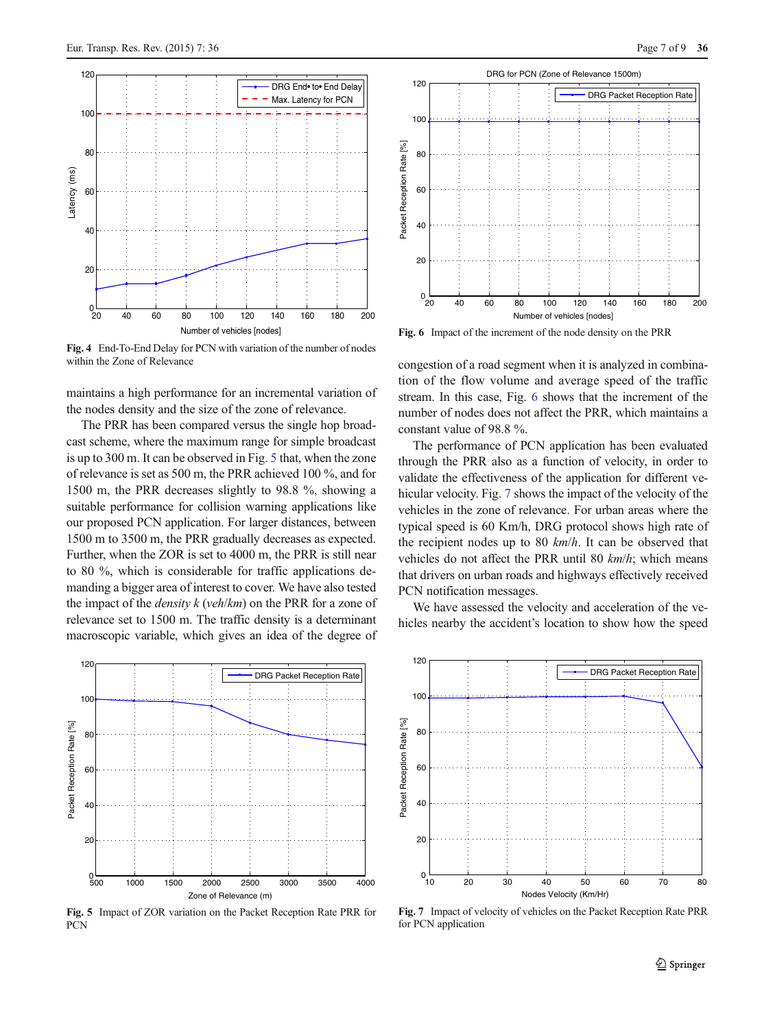<span id="page-6-0"></span>

Fig. 4 End-To-End Delay for PCN with variation of the number of nodes within the Zone of Relevance

maintains a high performance for an incremental variation of the nodes density and the size of the zone of relevance.

The PRR has been compared versus the single hop broadcast scheme, where the maximum range for simple broadcast is up to 300 m. It can be observed in Fig. 5 that, when the zone of relevance is set as 500 m, the PRR achieved 100 %, and for 1500 m, the PRR decreases slightly to 98.8 %, showing a suitable performance for collision warning applications like our proposed PCN application. For larger distances, between 1500 m to 3500 m, the PRR gradually decreases as expected. Further, when the ZOR is set to 4000 m, the PRR is still near to 80 %, which is considerable for traffic applications demanding a bigger area of interest to cover. We have also tested the impact of the *density*  $k$  (*veh*/ $km$ ) on the PRR for a zone of relevance set to 1500 m. The traffic density is a determinant macroscopic variable, which gives an idea of the degree of



Fig. 5 Impact of ZOR variation on the Packet Reception Rate PRR for **PCN** 



Fig. 6 Impact of the increment of the node density on the PRR

congestion of a road segment when it is analyzed in combination of the flow volume and average speed of the traffic stream. In this case, Fig. 6 shows that the increment of the number of nodes does not affect the PRR, which maintains a constant value of 98.8 %.

The performance of PCN application has been evaluated through the PRR also as a function of velocity, in order to validate the effectiveness of the application for different vehicular velocity. Fig. 7 shows the impact of the velocity of the vehicles in the zone of relevance. For urban areas where the typical speed is 60 Km/h, DRG protocol shows high rate of the recipient nodes up to 80  $km/h$ . It can be observed that vehicles do not affect the PRR until 80  $km/h$ ; which means that drivers on urban roads and highways effectively received PCN notification messages.

We have assessed the velocity and acceleration of the vehicles nearby the accident's location to show how the speed



Fig. 7 Impact of velocity of vehicles on the Packet Reception Rate PRR for PCN application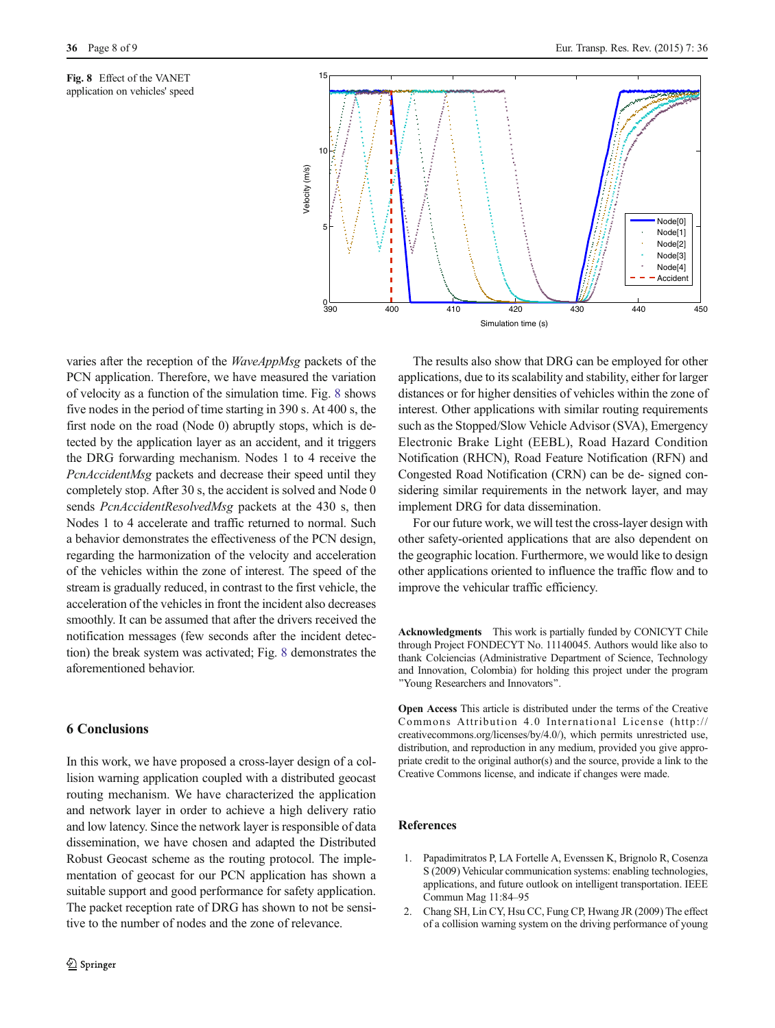<span id="page-7-0"></span>Fig. 8 Effect of the VANET application on vehicles' speed



varies after the reception of the WaveAppMsg packets of the PCN application. Therefore, we have measured the variation of velocity as a function of the simulation time. Fig. 8 shows five nodes in the period of time starting in 390 s. At 400 s, the first node on the road (Node 0) abruptly stops, which is detected by the application layer as an accident, and it triggers the DRG forwarding mechanism. Nodes 1 to 4 receive the PcnAccidentMsg packets and decrease their speed until they completely stop. After 30 s, the accident is solved and Node 0 sends *PcnAccidentResolvedMsg* packets at the 430 s, then Nodes 1 to 4 accelerate and traffic returned to normal. Such a behavior demonstrates the effectiveness of the PCN design, regarding the harmonization of the velocity and acceleration of the vehicles within the zone of interest. The speed of the stream is gradually reduced, in contrast to the first vehicle, the acceleration of the vehicles in front the incident also decreases smoothly. It can be assumed that after the drivers received the notification messages (few seconds after the incident detection) the break system was activated; Fig. 8 demonstrates the aforementioned behavior.

#### 6 Conclusions

In this work, we have proposed a cross-layer design of a collision warning application coupled with a distributed geocast routing mechanism. We have characterized the application and network layer in order to achieve a high delivery ratio and low latency. Since the network layer is responsible of data dissemination, we have chosen and adapted the Distributed Robust Geocast scheme as the routing protocol. The implementation of geocast for our PCN application has shown a suitable support and good performance for safety application. The packet reception rate of DRG has shown to not be sensitive to the number of nodes and the zone of relevance.

The results also show that DRG can be employed for other applications, due to its scalability and stability, either for larger distances or for higher densities of vehicles within the zone of interest. Other applications with similar routing requirements such as the Stopped/Slow Vehicle Advisor (SVA), Emergency Electronic Brake Light (EEBL), Road Hazard Condition Notification (RHCN), Road Feature Notification (RFN) and Congested Road Notification (CRN) can be de- signed considering similar requirements in the network layer, and may implement DRG for data dissemination.

For our future work, we will test the cross-layer design with other safety-oriented applications that are also dependent on the geographic location. Furthermore, we would like to design other applications oriented to influence the traffic flow and to improve the vehicular traffic efficiency.

Acknowledgments This work is partially funded by CONICYT Chile through Project FONDECYT No. 11140045. Authors would like also to thank Colciencias (Administrative Department of Science, Technology and Innovation, Colombia) for holding this project under the program "Young Researchers and Innovators".

Open Access This article is distributed under the terms of the Creative Commons Attribution 4.0 International License (http:// creativecommons.org/licenses/by/4.0/), which permits unrestricted use, distribution, and reproduction in any medium, provided you give appropriate credit to the original author(s) and the source, provide a link to the Creative Commons license, and indicate if changes were made.

#### References

- 1. Papadimitratos P, LA Fortelle A, Evenssen K, Brignolo R, Cosenza S (2009) Vehicular communication systems: enabling technologies, applications, and future outlook on intelligent transportation. IEEE Commun Mag 11:84–95
- 2. Chang SH, Lin CY, Hsu CC, Fung CP, Hwang JR (2009) The effect of a collision warning system on the driving performance of young